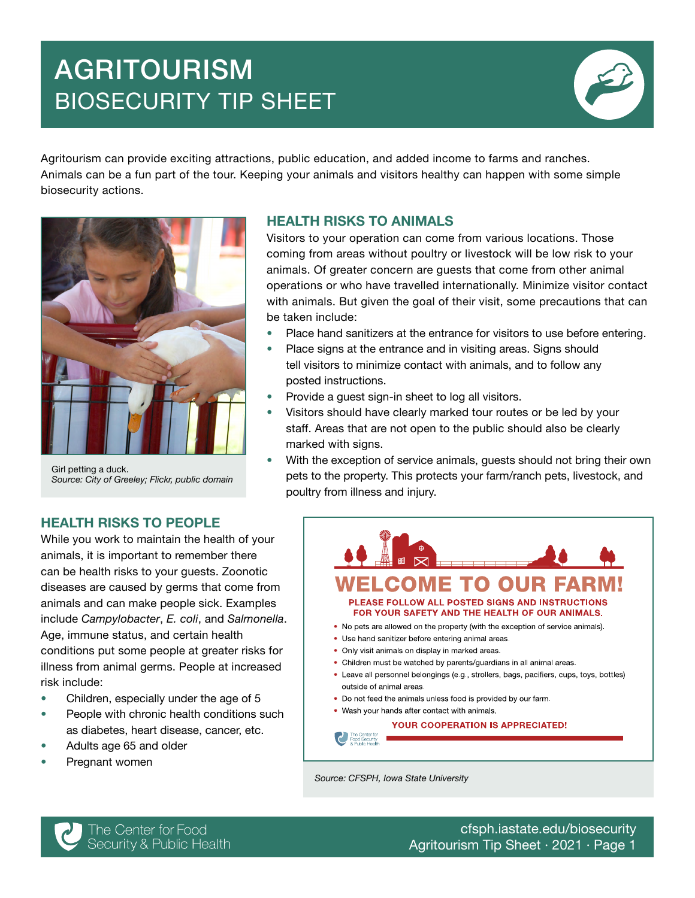# AGRITOURISM BIOSECURITY TIP SHEET



Agritourism can provide exciting attractions, public education, and added income to farms and ranches. Animals can be a fun part of the tour. Keeping your animals and visitors healthy can happen with some simple biosecurity actions.



Girl petting a duck. *Source: City of Greeley; Flickr, public domain*

#### HEALTH RISKS TO ANIMALS

Visitors to your operation can come from various locations. Those coming from areas without poultry or livestock will be low risk to your animals. Of greater concern are guests that come from other animal operations or who have travelled internationally. Minimize visitor contact with animals. But given the goal of their visit, some precautions that can be taken include:

- Place hand sanitizers at the entrance for visitors to use before entering.
- Place signs at the entrance and in visiting areas. Signs should tell visitors to minimize contact with animals, and to follow any posted instructions.
- Provide a guest sign-in sheet to log all visitors.
- Visitors should have clearly marked tour routes or be led by your staff. Areas that are not open to the public should also be clearly marked with signs.
- With the exception of service animals, guests should not bring their own pets to the property. This protects your farm/ranch pets, livestock, and poultry from illness and injury.

# HEALTH RISKS TO PEOPLE

While you work to maintain the health of your animals, it is important to remember there can be health risks to your guests. Zoonotic diseases are caused by germs that come from animals and can make people sick. Examples include *Campylobacter*, *E. coli*, and *Salmonella*. Age, immune status, and certain health conditions put some people at greater risks for illness from animal germs. People at increased risk include:

- Children, especially under the age of 5
- People with chronic health conditions such as diabetes, heart disease, cancer, etc.
- Adults age 65 and older
- Pregnant women



*Source: CFSPH, Iowa State University*



[cfsph.iastate.edu/biosecurity](https://www.cfsph.iastate.edu/biosecurity/) Agritourism Tip Sheet · 2021 · Page 1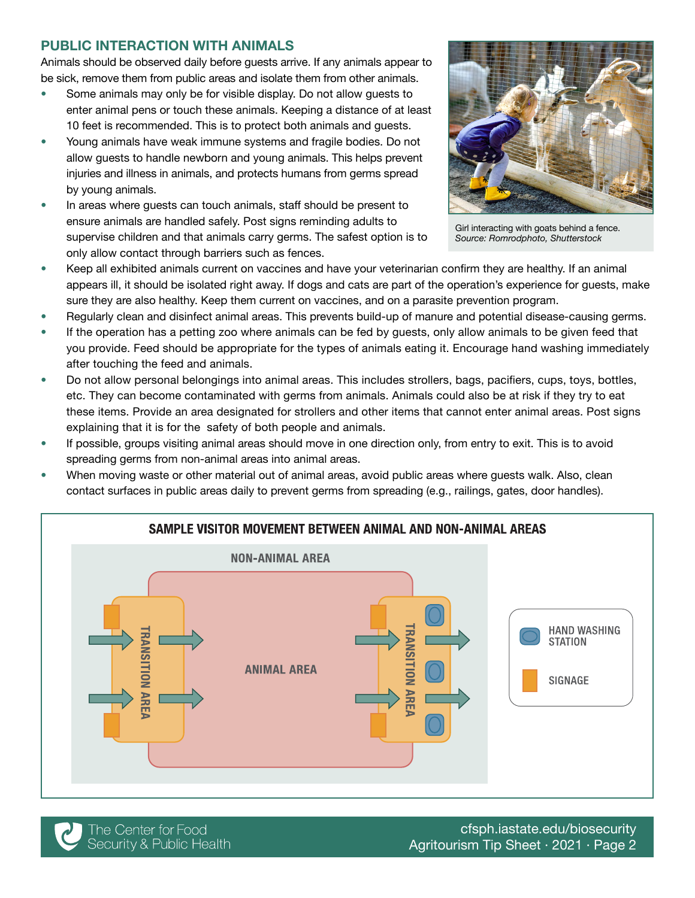# PUBLIC INTERACTION WITH ANIMALS

Animals should be observed daily before guests arrive. If any animals appear to be sick, remove them from public areas and isolate them from other animals.

- Some animals may only be for visible display. Do not allow guests to enter animal pens or touch these animals. Keeping a distance of at least 10 feet is recommended. This is to protect both animals and guests.
- Young animals have weak immune systems and fragile bodies. Do not allow guests to handle newborn and young animals. This helps prevent injuries and illness in animals, and protects humans from germs spread by young animals.
- In areas where guests can touch animals, staff should be present to ensure animals are handled safely. Post signs reminding adults to supervise children and that animals carry germs. The safest option is to only allow contact through barriers such as fences.



Girl interacting with goats behind a fence. *Source: Romrodphoto, Shutterstock*

- Keep all exhibited animals current on vaccines and have your veterinarian confirm they are healthy. If an animal appears ill, it should be isolated right away. If dogs and cats are part of the operation's experience for guests, make sure they are also healthy. Keep them current on vaccines, and on a parasite prevention program.
- Regularly clean and disinfect animal areas. This prevents build-up of manure and potential disease-causing germs.
- If the operation has a petting zoo where animals can be fed by quests, only allow animals to be given feed that you provide. Feed should be appropriate for the types of animals eating it. Encourage hand washing immediately after touching the feed and animals.
- Do not allow personal belongings into animal areas. This includes strollers, bags, pacifiers, cups, toys, bottles, etc. They can become contaminated with germs from animals. Animals could also be at risk if they try to eat these items. Provide an area designated for strollers and other items that cannot enter animal areas. Post signs explaining that it is for the safety of both people and animals.
- If possible, groups visiting animal areas should move in one direction only, from entry to exit. This is to avoid spreading germs from non-animal areas into animal areas.
- When moving waste or other material out of animal areas, avoid public areas where guests walk. Also, clean contact surfaces in public areas daily to prevent germs from spreading (e.g., railings, gates, door handles).





[cfsph.iastate.edu/biosecurity](https://www.cfsph.iastate.edu/biosecurity/) Agritourism Tip Sheet · 2021 · Page 2